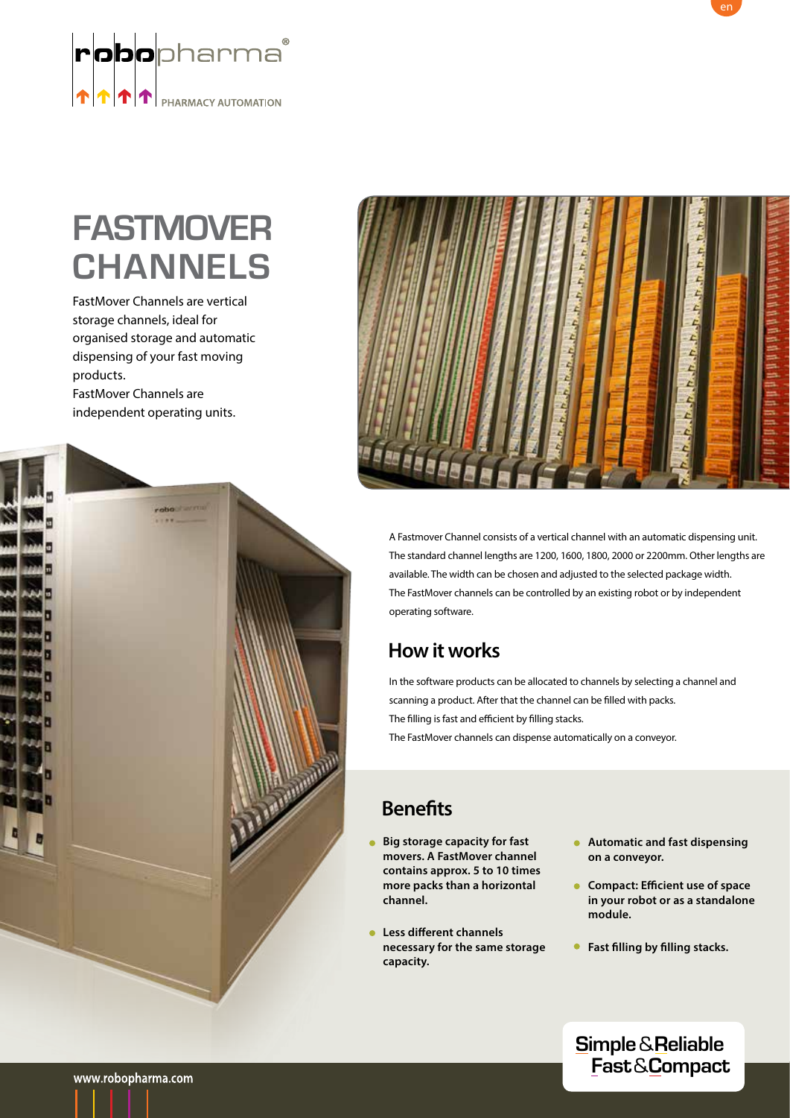

# **FASTMOVER CHANNELS**

FastMover Channels are vertical storage channels, ideal for organised storage and automatic dispensing of your fast moving products. FastMover Channels are

independent operating units.





A Fastmover Channel consists of a vertical channel with an automatic dispensing unit. The standard channel lengths are 1200, 1600, 1800, 2000 or 2200mm. Other lengths are available. The width can be chosen and adjusted to the selected package width. The FastMover channels can be controlled by an existing robot or by independent operating software.

### **How it works**

In the software products can be allocated to channels by selecting a channel and scanning a product. After that the channel can be filled with packs. The filling is fast and efficient by filling stacks. The FastMover channels can dispense automatically on a conveyor.

### **Benefits**

- **Big storage capacity for fast movers. A FastMover channel contains approx. 5 to 10 times more packs than a horizontal channel.**
- **Less different channels necessary for the same storage capacity.**
- **Automatic and fast dispensing on a conveyor.**
- **Compact: Efficient use of space in your robot or as a standalone module.**
- **Fast filling by filling stacks.**

**Simple** & **Reliable Fast** & **Compact**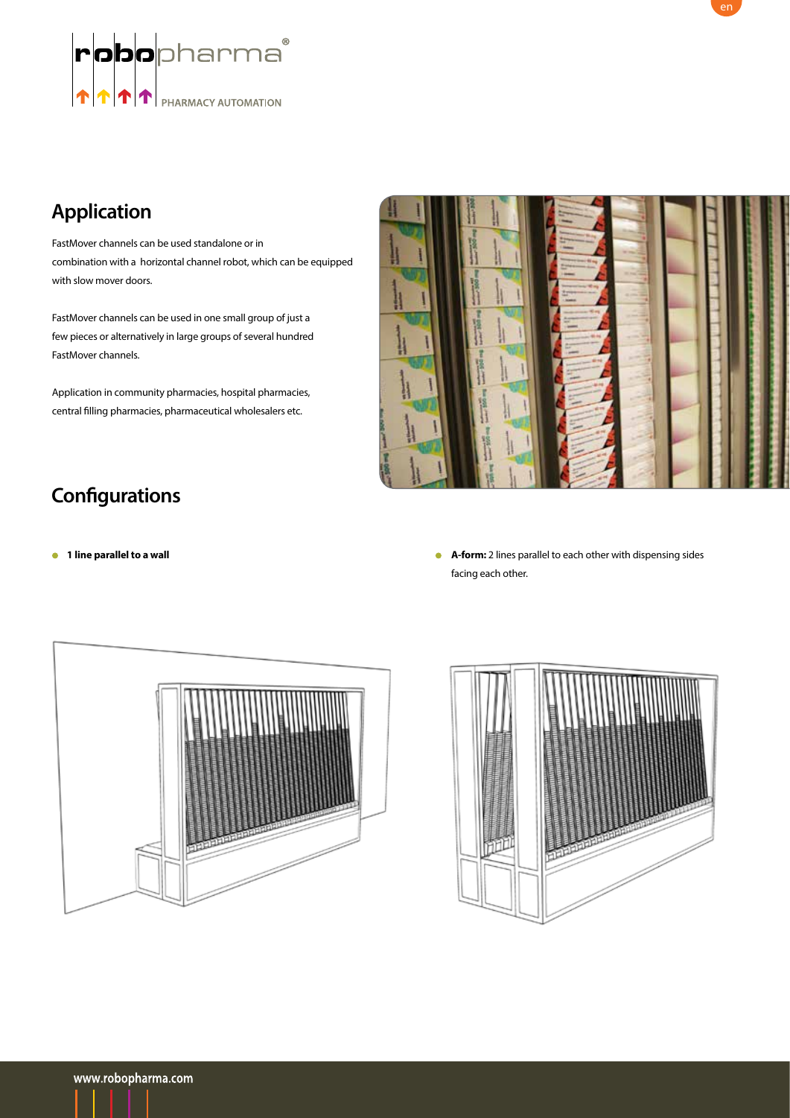

## **Application**

FastMover channels can be used standalone or in combination with a horizontal channel robot, which can be equipped with slow mover doors.

FastMover channels can be used in one small group of just a few pieces or alternatively in large groups of several hundred FastMover channels.

Application in community pharmacies, hospital pharmacies, central filling pharmacies, pharmaceutical wholesalers etc.



## **Configurations**

**1 line parallel to a wall A-form:** 2 lines parallel to each other with dispensing sides facing each other.



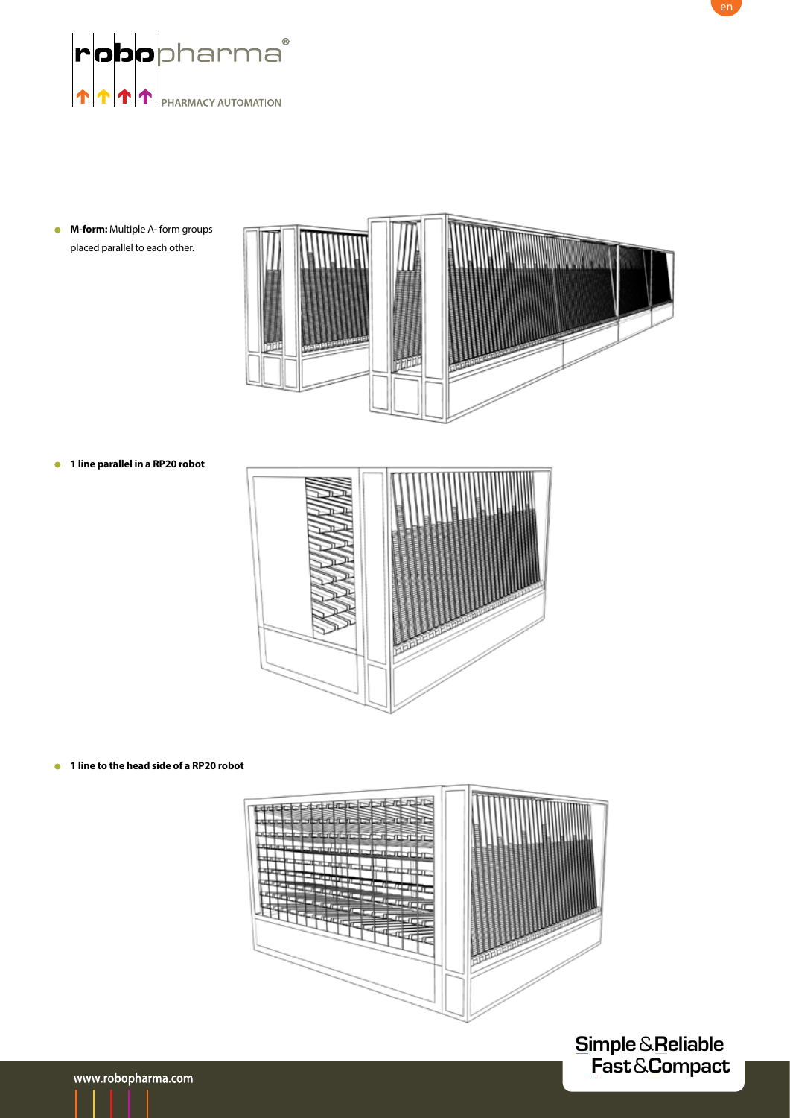

**M-form:** Multiple A- form groups placed parallel to each other.



**1 line parallel in a RP20 robot**



**1 line to the head side of a RP20 robot**



**Simple** & **Reliable Fast** & **Compact**

en